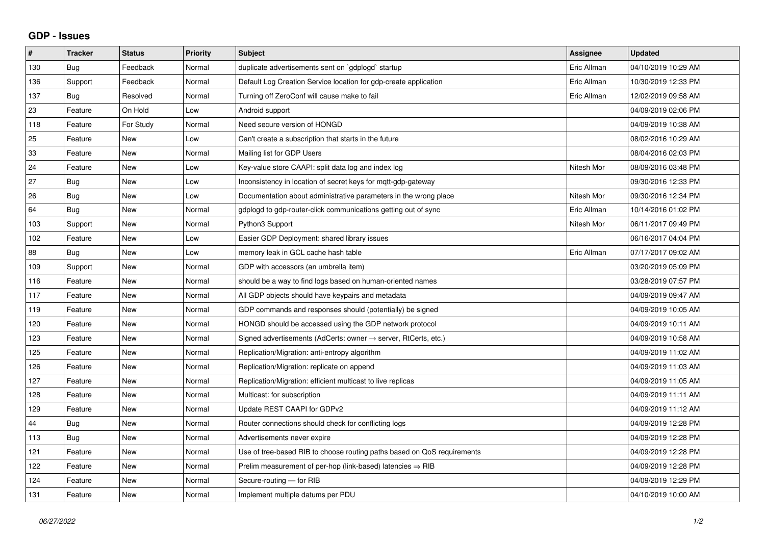## **GDP - Issues**

| $\pmb{\sharp}$ | <b>Tracker</b> | <b>Status</b> | Priority | <b>Subject</b>                                                             | Assignee    | <b>Updated</b>      |
|----------------|----------------|---------------|----------|----------------------------------------------------------------------------|-------------|---------------------|
| 130            | Bug            | Feedback      | Normal   | duplicate advertisements sent on `gdplogd` startup                         | Eric Allman | 04/10/2019 10:29 AM |
| 136            | Support        | Feedback      | Normal   | Default Log Creation Service location for gdp-create application           | Eric Allman | 10/30/2019 12:33 PM |
| 137            | Bug            | Resolved      | Normal   | Turning off ZeroConf will cause make to fail                               | Eric Allman | 12/02/2019 09:58 AM |
| 23             | Feature        | On Hold       | Low      | Android support                                                            |             | 04/09/2019 02:06 PM |
| 118            | Feature        | For Study     | Normal   | Need secure version of HONGD                                               |             | 04/09/2019 10:38 AM |
| 25             | Feature        | New           | Low      | Can't create a subscription that starts in the future                      |             | 08/02/2016 10:29 AM |
| 33             | Feature        | New           | Normal   | Mailing list for GDP Users                                                 |             | 08/04/2016 02:03 PM |
| 24             | Feature        | <b>New</b>    | Low      | Key-value store CAAPI: split data log and index log                        | Nitesh Mor  | 08/09/2016 03:48 PM |
| 27             | Bug            | New           | Low      | Inconsistency in location of secret keys for mqtt-gdp-gateway              |             | 09/30/2016 12:33 PM |
| 26             | Bug            | New           | Low      | Documentation about administrative parameters in the wrong place           | Nitesh Mor  | 09/30/2016 12:34 PM |
| 64             | <b>Bug</b>     | <b>New</b>    | Normal   | gdplogd to gdp-router-click communications getting out of sync             | Eric Allman | 10/14/2016 01:02 PM |
| 103            | Support        | <b>New</b>    | Normal   | Python3 Support                                                            | Nitesh Mor  | 06/11/2017 09:49 PM |
| 102            | Feature        | New           | Low      | Easier GDP Deployment: shared library issues                               |             | 06/16/2017 04:04 PM |
| 88             | Bug            | <b>New</b>    | Low      | memory leak in GCL cache hash table                                        | Eric Allman | 07/17/2017 09:02 AM |
| 109            | Support        | <b>New</b>    | Normal   | GDP with accessors (an umbrella item)                                      |             | 03/20/2019 05:09 PM |
| 116            | Feature        | <b>New</b>    | Normal   | should be a way to find logs based on human-oriented names                 |             | 03/28/2019 07:57 PM |
| 117            | Feature        | <b>New</b>    | Normal   | All GDP objects should have keypairs and metadata                          |             | 04/09/2019 09:47 AM |
| 119            | Feature        | New           | Normal   | GDP commands and responses should (potentially) be signed                  |             | 04/09/2019 10:05 AM |
| 120            | Feature        | <b>New</b>    | Normal   | HONGD should be accessed using the GDP network protocol                    |             | 04/09/2019 10:11 AM |
| 123            | Feature        | <b>New</b>    | Normal   | Signed advertisements (AdCerts: owner $\rightarrow$ server, RtCerts, etc.) |             | 04/09/2019 10:58 AM |
| 125            | Feature        | New           | Normal   | Replication/Migration: anti-entropy algorithm                              |             | 04/09/2019 11:02 AM |
| 126            | Feature        | <b>New</b>    | Normal   | Replication/Migration: replicate on append                                 |             | 04/09/2019 11:03 AM |
| 127            | Feature        | <b>New</b>    | Normal   | Replication/Migration: efficient multicast to live replicas                |             | 04/09/2019 11:05 AM |
| 128            | Feature        | New           | Normal   | Multicast: for subscription                                                |             | 04/09/2019 11:11 AM |
| 129            | Feature        | <b>New</b>    | Normal   | Update REST CAAPI for GDPv2                                                |             | 04/09/2019 11:12 AM |
| 44             | Bug            | <b>New</b>    | Normal   | Router connections should check for conflicting logs                       |             | 04/09/2019 12:28 PM |
| 113            | <b>Bug</b>     | <b>New</b>    | Normal   | Advertisements never expire                                                |             | 04/09/2019 12:28 PM |
| 121            | Feature        | New           | Normal   | Use of tree-based RIB to choose routing paths based on QoS requirements    |             | 04/09/2019 12:28 PM |
| 122            | Feature        | <b>New</b>    | Normal   | Prelim measurement of per-hop (link-based) latencies $\Rightarrow$ RIB     |             | 04/09/2019 12:28 PM |
| 124            | Feature        | New           | Normal   | Secure-routing - for RIB                                                   |             | 04/09/2019 12:29 PM |
| 131            | Feature        | New           | Normal   | Implement multiple datums per PDU                                          |             | 04/10/2019 10:00 AM |